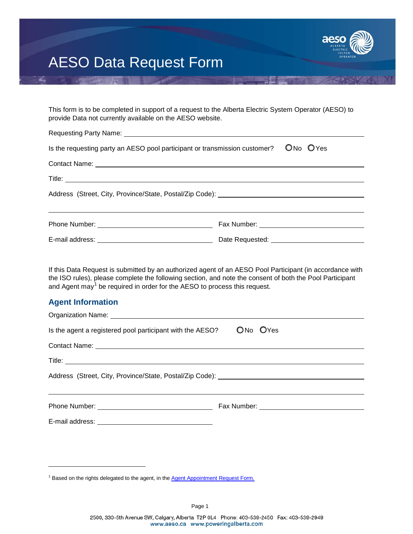

## AESO Data Request Form

This form is to be completed in support of a request to the Alberta Electric System Operator (AESO) to provide Data not currently available on the AESO website. Requesting Party Name:

| Is the requesting party an AESO pool participant or transmission customer? UNo OYes |                                           |  |  |  |  |
|-------------------------------------------------------------------------------------|-------------------------------------------|--|--|--|--|
|                                                                                     |                                           |  |  |  |  |
|                                                                                     |                                           |  |  |  |  |
| Address (Street, City, Province/State, Postal/Zip Code): ________________________   |                                           |  |  |  |  |
|                                                                                     |                                           |  |  |  |  |
|                                                                                     | Date Requested: _________________________ |  |  |  |  |

If this Data Request is submitted by an authorized agent of an AESO Pool Participant (in accordance with the ISO rules), please complete the following section, and note the consent of both the Pool Participant and Agent may<sup>[1](#page-0-0)</sup> be required in order for the AESO to process this request.

### **Agent Information**

-

| Is the agent a registered pool participant with the AESO? | ON <sub>o</sub> OYes |
|-----------------------------------------------------------|----------------------|
|                                                           |                      |
|                                                           |                      |
|                                                           |                      |
|                                                           |                      |
|                                                           |                      |

<span id="page-0-0"></span><sup>&</sup>lt;sup>1</sup> Based on the rights delegated to the agent, in the **[Agent Appointment Request Form.](https://www.aeso.ca/assets/Uploads/FORM-Agent-Appointment-Request-Form.pdf)**